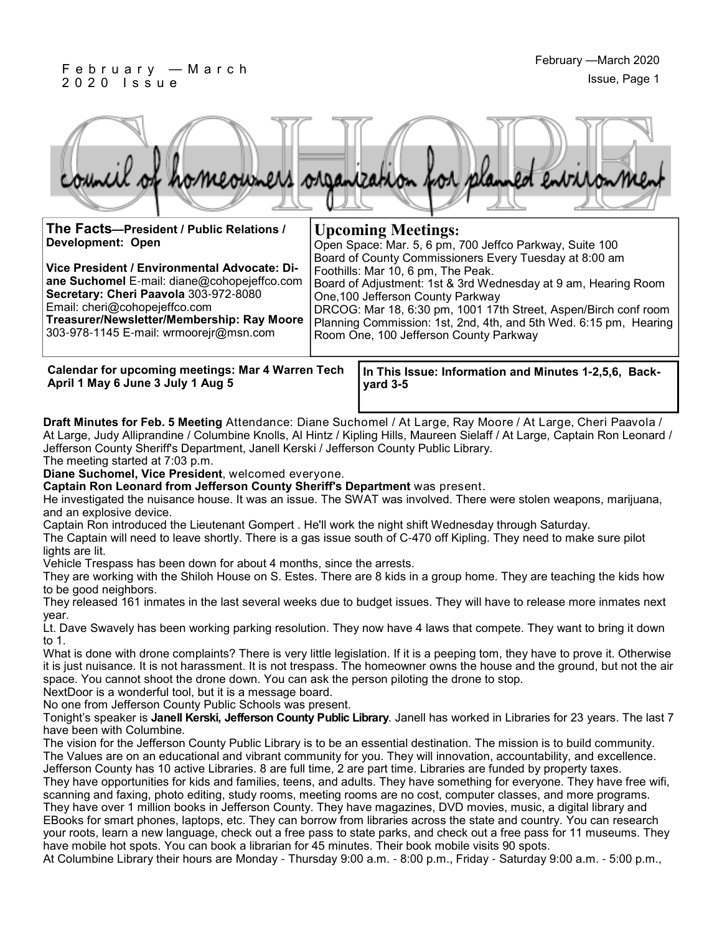#### F e b r u a r y — M a r c h 2 0 2 0 I s s u e



**Upcoming Meetings:**

Foothills: Mar 10, 6 pm, The Peak.

One,100 Jefferson County Parkway

Room One, 100 Jefferson County Parkway

**The Facts—President / Public Relations / Development: Open**

**Vice President / Environmental Advocate: Diane Suchomel** E-mail: diane@cohopejeffco.com **Secretary: Cheri Paavola** 303-972-8080 Email: cheri@cohopejeffco.com **Treasurer/Newsletter/Membership: Ray Moore**  303-978-1145 E-mail: wrmoorejr@msn.com

Board of Adjustment: 1st & 3rd Wednesday at 9 am, Hearing Room

DRCOG: Mar 18, 6:30 pm, 1001 17th Street, Aspen/Birch conf room Planning Commission: 1st, 2nd, 4th, and 5th Wed. 6:15 pm, Hearing

Open Space: Mar. 5, 6 pm, 700 Jeffco Parkway, Suite 100 Board of County Commissioners Every Tuesday at 8:00 am

**Calendar for upcoming meetings: Mar 4 Warren Tech April 1 May 6 June 3 July 1 Aug 5**

**In This Issue: Information and Minutes 1-2,5,6, Backyard 3-5** 

**Draft Minutes for Feb. 5 Meeting** Attendance: Diane Suchomel / At Large, Ray Moore / At Large, Cheri Paavola / At Large, Judy Alliprandine / Columbine Knolls, Al Hintz / Kipling Hills, Maureen Sielaff / At Large, Captain Ron Leonard / Jefferson County Sheriff's Department, Janell Kerski / Jefferson County Public Library.

The meeting started at 7:03 p.m.

**Diane Suchomel, Vice President**, welcomed everyone.

**Captain Ron Leonard from Jefferson County Sheriff's Department** was present.

He investigated the nuisance house. It was an issue. The SWAT was involved. There were stolen weapons, marijuana, and an explosive device.

Captain Ron introduced the Lieutenant Gompert . He'll work the night shift Wednesday through Saturday.

The Captain will need to leave shortly. There is a gas issue south of C-470 off Kipling. They need to make sure pilot lights are lit.

Vehicle Trespass has been down for about 4 months, since the arrests.

They are working with the Shiloh House on S. Estes. There are 8 kids in a group home. They are teaching the kids how to be good neighbors.

They released 161 inmates in the last several weeks due to budget issues. They will have to release more inmates next year.

Lt. Dave Swavely has been working parking resolution. They now have 4 laws that compete. They want to bring it down to 1.

What is done with drone complaints? There is very little legislation. If it is a peeping tom, they have to prove it. Otherwise it is just nuisance. It is not harassment. It is not trespass. The homeowner owns the house and the ground, but not the air space. You cannot shoot the drone down. You can ask the person piloting the drone to stop.

NextDoor is a wonderful tool, but it is a message board.

No one from Jefferson County Public Schools was present.

Tonight's speaker is **Janell Kerski, Jefferson County Public Library**. Janell has worked in Libraries for 23 years. The last 7 have been with Columbine.

The vision for the Jefferson County Public Library is to be an essential destination. The mission is to build community. The Values are on an educational and vibrant community for you. They will innovation, accountability, and excellence. Jefferson County has 10 active Libraries. 8 are full time, 2 are part time. Libraries are funded by property taxes. They have opportunities for kids and families, teens, and adults. They have something for everyone. They have free wifi, scanning and faxing, photo editing, study rooms, meeting rooms are no cost, computer classes, and more programs. They have over 1 million books in Jefferson County. They have magazines, DVD movies, music, a digital library and EBooks for smart phones, laptops, etc. They can borrow from libraries across the state and country. You can research your roots, learn a new language, check out a free pass to state parks, and check out a free pass for 11 museums. They have mobile hot spots. You can book a librarian for 45 minutes. Their book mobile visits 90 spots.

At Columbine Library their hours are Monday - Thursday 9:00 a.m. - 8:00 p.m., Friday - Saturday 9:00 a.m. - 5:00 p.m.,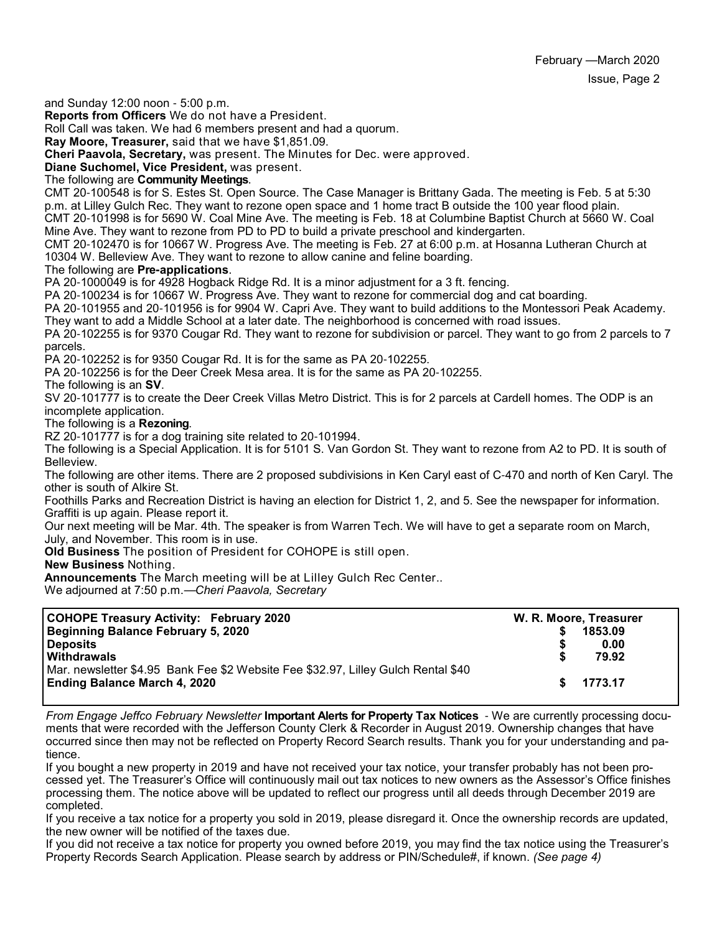and Sunday 12:00 noon - 5:00 p.m.

**Reports from Officers** We do not have a President.

Roll Call was taken. We had 6 members present and had a quorum.

**Ray Moore, Treasurer,** said that we have \$1,851.09.

**Cheri Paavola, Secretary,** was present. The Minutes for Dec. were approved.

**Diane Suchomel, Vice President,** was present.

#### The following are **Community Meetings**.

CMT 20-100548 is for S. Estes St. Open Source. The Case Manager is Brittany Gada. The meeting is Feb. 5 at 5:30 p.m. at Lilley Gulch Rec. They want to rezone open space and 1 home tract B outside the 100 year flood plain. CMT 20-101998 is for 5690 W. Coal Mine Ave. The meeting is Feb. 18 at Columbine Baptist Church at 5660 W. Coal

Mine Ave. They want to rezone from PD to PD to build a private preschool and kindergarten. CMT 20-102470 is for 10667 W. Progress Ave. The meeting is Feb. 27 at 6:00 p.m. at Hosanna Lutheran Church at 10304 W. Belleview Ave. They want to rezone to allow canine and feline boarding.

#### The following are **Pre-applications**.

PA 20-1000049 is for 4928 Hogback Ridge Rd. It is a minor adjustment for a 3 ft. fencing.

PA 20-100234 is for 10667 W. Progress Ave. They want to rezone for commercial dog and cat boarding.

PA 20-101955 and 20-101956 is for 9904 W. Capri Ave. They want to build additions to the Montessori Peak Academy. They want to add a Middle School at a later date. The neighborhood is concerned with road issues.

PA 20-102255 is for 9370 Cougar Rd. They want to rezone for subdivision or parcel. They want to go from 2 parcels to 7 parcels.

PA 20-102252 is for 9350 Cougar Rd. It is for the same as PA 20-102255.

PA 20-102256 is for the Deer Creek Mesa area. It is for the same as PA 20-102255.

The following is an **SV**.

SV 20-101777 is to create the Deer Creek Villas Metro District. This is for 2 parcels at Cardell homes. The ODP is an incomplete application.

The following is a **Rezoning**.

RZ 20-101777 is for a dog training site related to 20-101994.

The following is a Special Application. It is for 5101 S. Van Gordon St. They want to rezone from A2 to PD. It is south of Belleview.

The following are other items. There are 2 proposed subdivisions in Ken Caryl east of C-470 and north of Ken Caryl. The other is south of Alkire St.

Foothills Parks and Recreation District is having an election for District 1, 2, and 5. See the newspaper for information. Graffiti is up again. Please report it.

Our next meeting will be Mar. 4th. The speaker is from Warren Tech. We will have to get a separate room on March, July, and November. This room is in use.

**Old Business** The position of President for COHOPE is still open.

**New Business** Nothing.

**Announcements** The March meeting will be at Lilley Gulch Rec Center..

We adjourned at 7:50 p.m.—*Cheri Paavola, Secretary*

| <b>COHOPE Treasury Activity: February 2020</b>                                                                           | W. R. Moore, Treasurer |            |
|--------------------------------------------------------------------------------------------------------------------------|------------------------|------------|
| Beginning Balance February 5, 2020                                                                                       |                        | 1853.09    |
| <b>Deposits</b>                                                                                                          |                        | 0.00       |
| <b>Withdrawals</b>                                                                                                       |                        | 79.92      |
| Mar. newsletter \$4.95 Bank Fee \$2 Website Fee \$32.97, Lilley Gulch Rental \$40<br><b>Ending Balance March 4, 2020</b> |                        | \$ 1773.17 |

*From Engage Jeffco February Newsletter* **Important Alerts for Property Tax Notices** - We are currently processing documents that were recorded with the Jefferson County Clerk & Recorder in August 2019. Ownership changes that have occurred since then may not be reflected on Property Record Search results. Thank you for your understanding and patience.

If you bought a new property in 2019 and have not received your tax notice, your transfer probably has not been processed yet. The Treasurer's Office will continuously mail out tax notices to new owners as the Assessor's Office finishes processing them. The notice above will be updated to reflect our progress until all deeds through December 2019 are completed.

If you receive a tax notice for a property you sold in 2019, please disregard it. Once the ownership records are updated, the new owner will be notified of the taxes due.

If you did not receive a tax notice for property you owned before 2019, you may find the tax notice using the Treasurer's Property Records Search Application. Please search by address or PIN/Schedule#, if known. *(See page 4)*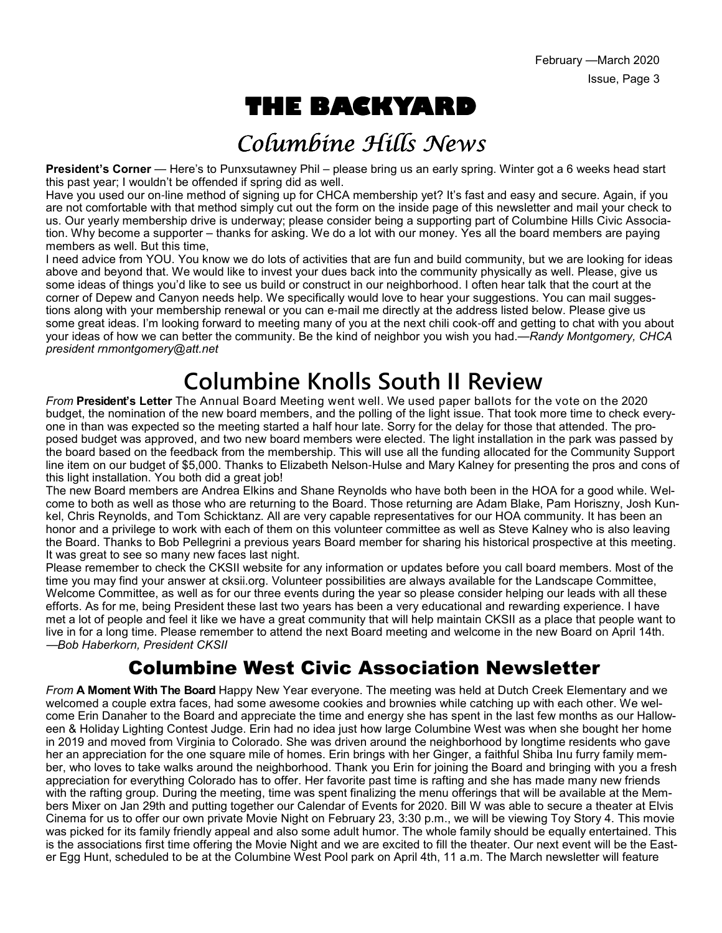# **THE BACKYARD**

## Columbine Hills News

**President's Corner** — Here's to Punxsutawney Phil – please bring us an early spring. Winter got a 6 weeks head start this past year; I wouldn't be offended if spring did as well.

Have you used our on-line method of signing up for CHCA membership yet? It's fast and easy and secure. Again, if you are not comfortable with that method simply cut out the form on the inside page of this newsletter and mail your check to us. Our yearly membership drive is underway; please consider being a supporting part of Columbine Hills Civic Association. Why become a supporter – thanks for asking. We do a lot with our money. Yes all the board members are paying members as well. But this time,

I need advice from YOU. You know we do lots of activities that are fun and build community, but we are looking for ideas above and beyond that. We would like to invest your dues back into the community physically as well. Please, give us some ideas of things you'd like to see us build or construct in our neighborhood. I often hear talk that the court at the corner of Depew and Canyon needs help. We specifically would love to hear your suggestions. You can mail suggestions along with your membership renewal or you can e-mail me directly at the address listed below. Please give us some great ideas. I'm looking forward to meeting many of you at the next chili cook-off and getting to chat with you about your ideas of how we can better the community. Be the kind of neighbor you wish you had.—*Randy Montgomery, CHCA president rnmontgomery@att.net*

## **Columbine Knolls South II Review**

*From* **President's Letter** The Annual Board Meeting went well. We used paper ballots for the vote on the 2020 budget, the nomination of the new board members, and the polling of the light issue. That took more time to check everyone in than was expected so the meeting started a half hour late. Sorry for the delay for those that attended. The proposed budget was approved, and two new board members were elected. The light installation in the park was passed by the board based on the feedback from the membership. This will use all the funding allocated for the Community Support line item on our budget of \$5,000. Thanks to Elizabeth Nelson-Hulse and Mary Kalney for presenting the pros and cons of this light installation. You both did a great job!

The new Board members are Andrea Elkins and Shane Reynolds who have both been in the HOA for a good while. Welcome to both as well as those who are returning to the Board. Those returning are Adam Blake, Pam Horiszny, Josh Kunkel, Chris Reynolds, and Tom Schicktanz. All are very capable representatives for our HOA community. It has been an honor and a privilege to work with each of them on this volunteer committee as well as Steve Kalney who is also leaving the Board. Thanks to Bob Pellegrini a previous years Board member for sharing his historical prospective at this meeting. It was great to see so many new faces last night.

Please remember to check the CKSII website for any information or updates before you call board members. Most of the time you may find your answer at cksii.org. Volunteer possibilities are always available for the Landscape Committee, Welcome Committee, as well as for our three events during the year so please consider helping our leads with all these efforts. As for me, being President these last two years has been a very educational and rewarding experience. I have met a lot of people and feel it like we have a great community that will help maintain CKSII as a place that people want to live in for a long time. Please remember to attend the next Board meeting and welcome in the new Board on April 14th. —*Bob Haberkorn, President CKSII*

### Columbine West Civic Association Newsletter

*From* **A Moment With The Board** Happy New Year everyone. The meeting was held at Dutch Creek Elementary and we welcomed a couple extra faces, had some awesome cookies and brownies while catching up with each other. We welcome Erin Danaher to the Board and appreciate the time and energy she has spent in the last few months as our Halloween & Holiday Lighting Contest Judge. Erin had no idea just how large Columbine West was when she bought her home in 2019 and moved from Virginia to Colorado. She was driven around the neighborhood by longtime residents who gave her an appreciation for the one square mile of homes. Erin brings with her Ginger, a faithful Shiba Inu furry family member, who loves to take walks around the neighborhood. Thank you Erin for joining the Board and bringing with you a fresh appreciation for everything Colorado has to offer. Her favorite past time is rafting and she has made many new friends with the rafting group. During the meeting, time was spent finalizing the menu offerings that will be available at the Members Mixer on Jan 29th and putting together our Calendar of Events for 2020. Bill W was able to secure a theater at Elvis Cinema for us to offer our own private Movie Night on February 23, 3:30 p.m., we will be viewing Toy Story 4. This movie was picked for its family friendly appeal and also some adult humor. The whole family should be equally entertained. This is the associations first time offering the Movie Night and we are excited to fill the theater. Our next event will be the Easter Egg Hunt, scheduled to be at the Columbine West Pool park on April 4th, 11 a.m. The March newsletter will feature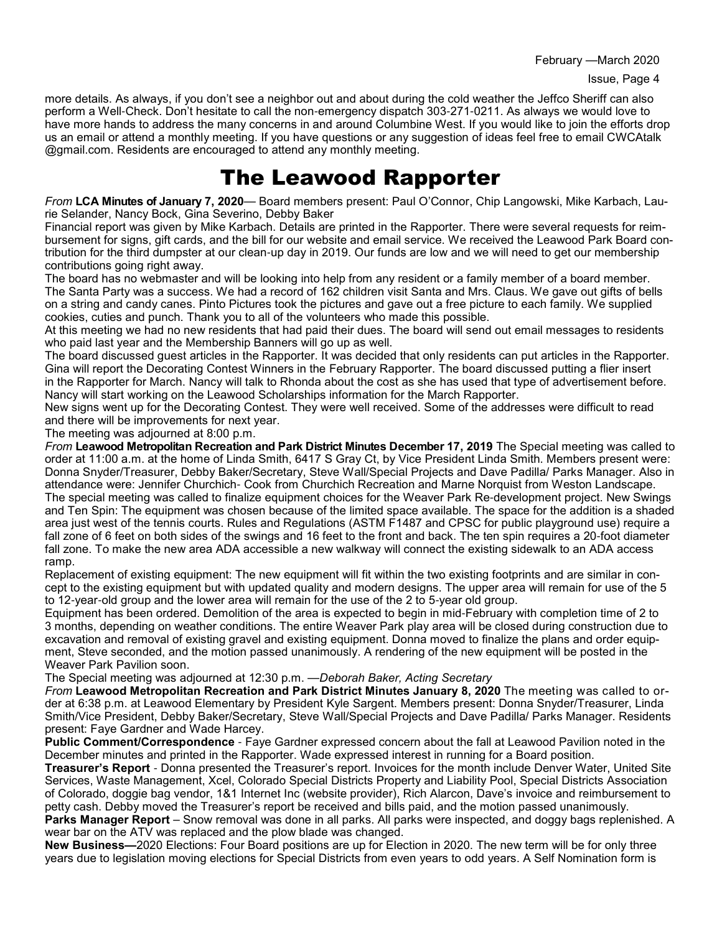more details. As always, if you don't see a neighbor out and about during the cold weather the Jeffco Sheriff can also perform a Well-Check. Don't hesitate to call the non-emergency dispatch 303-271-0211. As always we would love to have more hands to address the many concerns in and around Columbine West. If you would like to join the efforts drop us an email or attend a monthly meeting. If you have questions or any suggestion of ideas feel free to email CWCAtalk @gmail.com. Residents are encouraged to attend any monthly meeting.

### The Leawood Rapporter

*From* **LCA Minutes of January 7, 2020**— Board members present: Paul O'Connor, Chip Langowski, Mike Karbach, Laurie Selander, Nancy Bock, Gina Severino, Debby Baker

Financial report was given by Mike Karbach. Details are printed in the Rapporter. There were several requests for reimbursement for signs, gift cards, and the bill for our website and email service. We received the Leawood Park Board contribution for the third dumpster at our clean-up day in 2019. Our funds are low and we will need to get our membership contributions going right away.

The board has no webmaster and will be looking into help from any resident or a family member of a board member. The Santa Party was a success. We had a record of 162 children visit Santa and Mrs. Claus. We gave out gifts of bells on a string and candy canes. Pinto Pictures took the pictures and gave out a free picture to each family. We supplied cookies, cuties and punch. Thank you to all of the volunteers who made this possible.

At this meeting we had no new residents that had paid their dues. The board will send out email messages to residents who paid last year and the Membership Banners will go up as well.

The board discussed guest articles in the Rapporter. It was decided that only residents can put articles in the Rapporter. Gina will report the Decorating Contest Winners in the February Rapporter. The board discussed putting a flier insert in the Rapporter for March. Nancy will talk to Rhonda about the cost as she has used that type of advertisement before. Nancy will start working on the Leawood Scholarships information for the March Rapporter.

New signs went up for the Decorating Contest. They were well received. Some of the addresses were difficult to read and there will be improvements for next year.

The meeting was adjourned at 8:00 p.m.

*From* **Leawood Metropolitan Recreation and Park District Minutes December 17, 2019** The Special meeting was called to order at 11:00 a.m. at the home of Linda Smith, 6417 S Gray Ct, by Vice President Linda Smith. Members present were: Donna Snyder/Treasurer, Debby Baker/Secretary, Steve Wall/Special Projects and Dave Padilla/ Parks Manager. Also in attendance were: Jennifer Churchich- Cook from Churchich Recreation and Marne Norquist from Weston Landscape. The special meeting was called to finalize equipment choices for the Weaver Park Re-development project. New Swings and Ten Spin: The equipment was chosen because of the limited space available. The space for the addition is a shaded area just west of the tennis courts. Rules and Regulations (ASTM F1487 and CPSC for public playground use) require a fall zone of 6 feet on both sides of the swings and 16 feet to the front and back. The ten spin requires a 20-foot diameter fall zone. To make the new area ADA accessible a new walkway will connect the existing sidewalk to an ADA access ramp.

Replacement of existing equipment: The new equipment will fit within the two existing footprints and are similar in concept to the existing equipment but with updated quality and modern designs. The upper area will remain for use of the 5 to 12-year-old group and the lower area will remain for the use of the 2 to 5-year old group.

Equipment has been ordered. Demolition of the area is expected to begin in mid-February with completion time of 2 to 3 months, depending on weather conditions. The entire Weaver Park play area will be closed during construction due to excavation and removal of existing gravel and existing equipment. Donna moved to finalize the plans and order equipment, Steve seconded, and the motion passed unanimously. A rendering of the new equipment will be posted in the Weaver Park Pavilion soon.

The Special meeting was adjourned at 12:30 p.m. —*Deborah Baker, Acting Secretary* 

*From* **Leawood Metropolitan Recreation and Park District Minutes January 8, 2020** The meeting was called to order at 6:38 p.m. at Leawood Elementary by President Kyle Sargent. Members present: Donna Snyder/Treasurer, Linda Smith/Vice President, Debby Baker/Secretary, Steve Wall/Special Projects and Dave Padilla/ Parks Manager. Residents present: Faye Gardner and Wade Harcey.

**Public Comment/Correspondence** - Faye Gardner expressed concern about the fall at Leawood Pavilion noted in the December minutes and printed in the Rapporter. Wade expressed interest in running for a Board position.

**Treasurer's Report** - Donna presented the Treasurer's report. Invoices for the month include Denver Water, United Site Services, Waste Management, Xcel, Colorado Special Districts Property and Liability Pool, Special Districts Association of Colorado, doggie bag vendor, 1&1 Internet Inc (website provider), Rich Alarcon, Dave's invoice and reimbursement to petty cash. Debby moved the Treasurer's report be received and bills paid, and the motion passed unanimously.

**Parks Manager Report** – Snow removal was done in all parks. All parks were inspected, and doggy bags replenished. A wear bar on the ATV was replaced and the plow blade was changed.

**New Business—**2020 Elections: Four Board positions are up for Election in 2020. The new term will be for only three years due to legislation moving elections for Special Districts from even years to odd years. A Self Nomination form is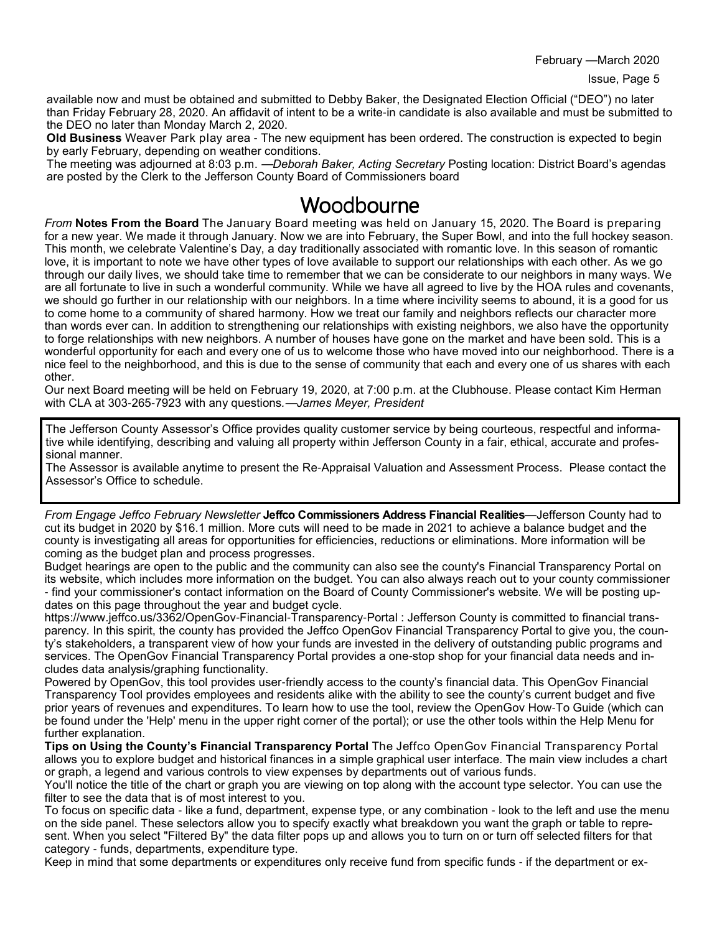February —March 2020

available now and must be obtained and submitted to Debby Baker, the Designated Election Official ("DEO") no later than Friday February 28, 2020. An affidavit of intent to be a write-in candidate is also available and must be submitted to the DEO no later than Monday March 2, 2020.

**Old Business** Weaver Park play area - The new equipment has been ordered. The construction is expected to begin by early February, depending on weather conditions.

The meeting was adjourned at 8:03 p.m. —*Deborah Baker, Acting Secretary* Posting location: District Board's agendas are posted by the Clerk to the Jefferson County Board of Commissioners board

### Woodbourne

*From* **Notes From the Board** The January Board meeting was held on January 15, 2020. The Board is preparing for a new year. We made it through January. Now we are into February, the Super Bowl, and into the full hockey season. This month, we celebrate Valentine's Day, a day traditionally associated with romantic love. In this season of romantic love, it is important to note we have other types of love available to support our relationships with each other. As we go through our daily lives, we should take time to remember that we can be considerate to our neighbors in many ways. We are all fortunate to live in such a wonderful community. While we have all agreed to live by the HOA rules and covenants, we should go further in our relationship with our neighbors. In a time where incivility seems to abound, it is a good for us to come home to a community of shared harmony. How we treat our family and neighbors reflects our character more than words ever can. In addition to strengthening our relationships with existing neighbors, we also have the opportunity to forge relationships with new neighbors. A number of houses have gone on the market and have been sold. This is a wonderful opportunity for each and every one of us to welcome those who have moved into our neighborhood. There is a nice feel to the neighborhood, and this is due to the sense of community that each and every one of us shares with each other.

Our next Board meeting will be held on February 19, 2020, at 7:00 p.m. at the Clubhouse. Please contact Kim Herman with CLA at 303-265-7923 with any questions*.*—*James Meyer, President*

The Jefferson County Assessor's Office provides quality customer service by being courteous, respectful and informative while identifying, describing and valuing all property within Jefferson County in a fair, ethical, accurate and professional manner.

The Assessor is available anytime to present the Re-Appraisal Valuation and Assessment Process. Please contact the Assessor's Office to schedule.

*From Engage Jeffco February Newsletter* **Jeffco Commissioners Address Financial Realities**—Jefferson County had to cut its budget in 2020 by \$16.1 million. More cuts will need to be made in 2021 to achieve a balance budget and the county is investigating all areas for opportunities for efficiencies, reductions or eliminations. More information will be coming as the budget plan and process progresses.

Budget hearings are open to the public and the community can also see the county's Financial Transparency Portal on its website, which includes more information on the budget. You can also always reach out to your county commissioner - find your commissioner's contact information on the Board of County Commissioner's website. We will be posting updates on this page throughout the year and budget cycle.

https://www.jeffco.us/3362/OpenGov-Financial-Transparency-Portal : Jefferson County is committed to financial transparency. In this spirit, the county has provided the Jeffco OpenGov Financial Transparency Portal to give you, the county's stakeholders, a transparent view of how your funds are invested in the delivery of outstanding public programs and services. The OpenGov Financial Transparency Portal provides a one-stop shop for your financial data needs and includes data analysis/graphing functionality.

Powered by OpenGov, this tool provides user-friendly access to the county's financial data. This OpenGov Financial Transparency Tool provides employees and residents alike with the ability to see the county's current budget and five prior years of revenues and expenditures. To learn how to use the tool, review the OpenGov How-To Guide (which can be found under the 'Help' menu in the upper right corner of the portal); or use the other tools within the Help Menu for further explanation.

**Tips on Using the County's Financial Transparency Portal** The Jeffco OpenGov Financial Transparency Portal allows you to explore budget and historical finances in a simple graphical user interface. The main view includes a chart or graph, a legend and various controls to view expenses by departments out of various funds.

You'll notice the title of the chart or graph you are viewing on top along with the account type selector. You can use the filter to see the data that is of most interest to you.

To focus on specific data - like a fund, department, expense type, or any combination - look to the left and use the menu on the side panel. These selectors allow you to specify exactly what breakdown you want the graph or table to represent. When you select "Filtered By" the data filter pops up and allows you to turn on or turn off selected filters for that category - funds, departments, expenditure type.

Keep in mind that some departments or expenditures only receive fund from specific funds - if the department or ex-